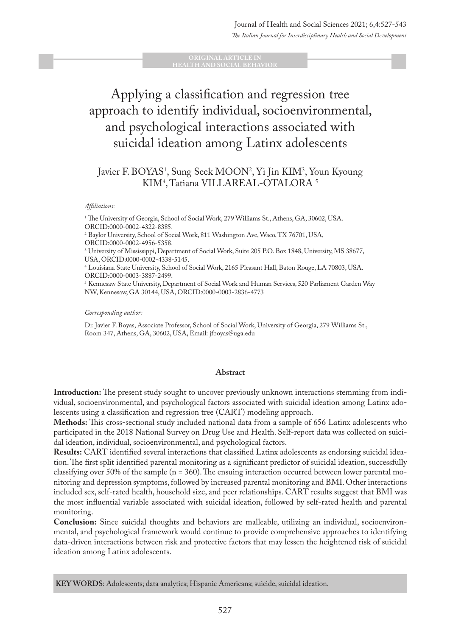#### **ORIGINAL ARTICLE IN ALTH AND SOCIAL BEHAVIO**

# Applying a classification and regression tree approach to identify individual, socioenvironmental, and psychological interactions associated with suicidal ideation among Latinx adolescents

## Javier F. BOYAS<sup>1</sup>, Sung Seek MOON<sup>2</sup>, Yi Jin KIM<sup>3</sup>, Youn Kyoung KIM<sup>4</sup>, Tatiana VILLAREAL-OTALORA <sup>5</sup>

#### *Affiliations*:

<sup>1</sup> The University of Georgia, School of Social Work, 279 Williams St., Athens, GA, 30602, USA. ORCID:0000-0002-4322-8385.

2 Baylor University, School of Social Work, 811 Washington Ave, Waco, TX 76701, USA, ORCID:0000-0002-4956-5358.

3 University of Mississippi, Department of Social Work, Suite 205 P.O. Box 1848, University, MS 38677, USA, ORCID:0000-0002-4338-5145.

4 Louisiana State University, School of Social Work, 2165 Pleasant Hall, Baton Rouge, LA 70803, USA. ORCID:0000-0003-3887-2499.

 $^5$  Kennesaw State University, Department of Social Work and Human Services, 520 Parliament Garden Way NW, Kennesaw, GA 30144, USA, ORCID:0000-0003-2836-4773

#### *Corresponding author:*

Dr. Javier F. Boyas, Associate Professor, School of Social Work, University of Georgia, 279 Williams St., Room 347, Athens, GA, 30602, USA, Email: jfboyas@uga.edu

#### **Abstract**

**Introduction:** The present study sought to uncover previously unknown interactions stemming from individual, socioenvironmental, and psychological factors associated with suicidal ideation among Latinx adolescents using a classification and regression tree (CART) modeling approach.

**Methods:** This cross-sectional study included national data from a sample of 656 Latinx adolescents who participated in the 2018 National Survey on Drug Use and Health. Self-report data was collected on suicidal ideation, individual, socioenvironmental, and psychological factors.

**Results:** CART identified several interactions that classified Latinx adolescents as endorsing suicidal ideation. The first split identified parental monitoring as a significant predictor of suicidal ideation, successfully classifying over 50% of the sample  $(n = 360)$ . The ensuing interaction occurred between lower parental monitoring and depression symptoms, followed by increased parental monitoring and BMI. Other interactions included sex, self-rated health, household size, and peer relationships. CART results suggest that BMI was the most influential variable associated with suicidal ideation, followed by self-rated health and parental monitoring.

**Conclusion:** Since suicidal thoughts and behaviors are malleable, utilizing an individual, socioenvironmental, and psychological framework would continue to provide comprehensive approaches to identifying data-driven interactions between risk and protective factors that may lessen the heightened risk of suicidal ideation among Latinx adolescents.

**KEY WORDS**: Adolescents; data analytics; Hispanic Americans; suicide, suicidal ideation.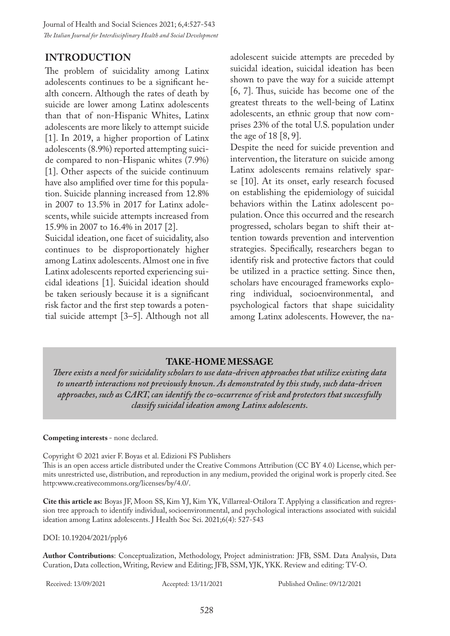Journal of Health and Social Sciences 2021; 6,4:527-543 *The Italian Journal for Interdisciplinary Health and Social Development*

### **INTRODUCTION**

The problem of suicidality among Latinx adolescents continues to be a significant health concern. Although the rates of death by suicide are lower among Latinx adolescents than that of non-Hispanic Whites, Latinx adolescents are more likely to attempt suicide [1]. In 2019, a higher proportion of Latinx adolescents (8.9%) reported attempting suicide compared to non-Hispanic whites (7.9%) [1]. Other aspects of the suicide continuum have also amplified over time for this population. Suicide planning increased from 12.8% in 2007 to 13.5% in 2017 for Latinx adolescents, while suicide attempts increased from 15.9% in 2007 to 16.4% in 2017 [2].

Suicidal ideation, one facet of suicidality, also continues to be disproportionately higher among Latinx adolescents. Almost one in five Latinx adolescents reported experiencing suicidal ideations [1]. Suicidal ideation should be taken seriously because it is a significant risk factor and the first step towards a potential suicide attempt [3–5]. Although not all adolescent suicide attempts are preceded by suicidal ideation, suicidal ideation has been shown to pave the way for a suicide attempt [6, 7]. Thus, suicide has become one of the greatest threats to the well-being of Latinx adolescents, an ethnic group that now comprises 23% of the total U.S. population under the age of 18 [8, 9].

Despite the need for suicide prevention and intervention, the literature on suicide among Latinx adolescents remains relatively sparse [10]. At its onset, early research focused on establishing the epidemiology of suicidal behaviors within the Latinx adolescent population. Once this occurred and the research progressed, scholars began to shift their attention towards prevention and intervention strategies. Specifically, researchers began to identify risk and protective factors that could be utilized in a practice setting. Since then, scholars have encouraged frameworks exploring individual, socioenvironmental, and psychological factors that shape suicidality among Latinx adolescents. However, the na-

#### **TAKE-HOME MESSAGE**

*There exists a need for suicidality scholars to use data-driven approaches that utilize existing data to unearth interactions not previously known. As demonstrated by this study, such data-driven approaches, such as CART, can identify the co-occurrence of risk and protectors that successfully classify suicidal ideation among Latinx adolescents.*

#### **Competing interests** - none declared.

Copyright © 2021 avier F. Boyas et al. Edizioni FS Publishers This is an open access article distributed under the Creative Commons Attribution (CC BY 4.0) License, which permits unrestricted use, distribution, and reproduction in any medium, provided the original work is properly cited. See http:www.creativecommons.org/licenses/by/4.0/.

**Cite this article as:** Boyas JF, Moon SS, Kim YJ, Kim YK, Villarreal-Otálora T. Applying a classification and regression tree approach to identify individual, socioenvironmental, and psychological interactions associated with suicidal ideation among Latinx adolescents. J Health Soc Sci. 2021;6(4): 527-543

DOI: 10.19204/2021/pply6

**Author Contributions**: Conceptualization, Methodology, Project administration: JFB, SSM. Data Analysis, Data Curation, Data collection, Writing, Review and Editing; JFB, SSM, YJK, YKK. Review and editing: TV-O.

Received: 13/09/2021 Accepted: 13/11/2021 Published Online: 09/12/2021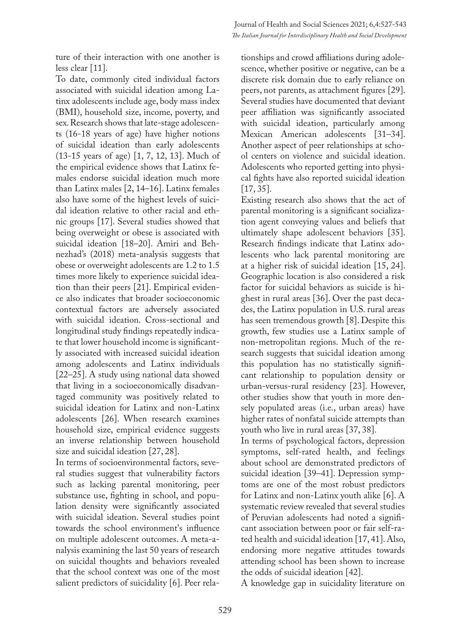ture of their interaction with one another is less clear [11].

To date, commonly cited individual factors associated with suicidal ideation among Latinx adolescents include age, body mass index (BMI), household size, income, poverty, and sex. Research shows that late-stage adolescents (16-18 years of age) have higher notions of suicidal ideation than early adolescents (13-15 years of age) [1, 7, 12, 13]. Much of the empirical evidence shows that Latinx females endorse suicidal ideation much more than Latinx males [2, 14–16]. Latinx females also have some of the highest levels of suicidal ideation relative to other racial and ethnic groups [17]. Several studies showed that being overweight or obese is associated with suicidal ideation [18–20]. Amiri and Behnezhad's (2018) meta-analysis suggests that obese or overweight adolescents are 1.2 to 1.5 times more likely to experience suicidal ideation than their peers [21]. Empirical evidence also indicates that broader socioeconomic contextual factors are adversely associated with suicidal ideation. Cross-sectional and longitudinal study findings repeatedly indicate that lower household income is significantly associated with increased suicidal ideation among adolescents and Latinx individuals [22–25]. A study using national data showed that living in a socioeconomically disadvantaged community was positively related to suicidal ideation for Latinx and non-Latinx adolescents [26]. When research examines household size, empirical evidence suggests an inverse relationship between household size and suicidal ideation [27, 28].

In terms of socioenvironmental factors, several studies suggest that vulnerability factors such as lacking parental monitoring, peer substance use, fighting in school, and population density were significantly associated with suicidal ideation. Several studies point towards the school environment's influence on multiple adolescent outcomes. A meta-analysis examining the last 50 years of research on suicidal thoughts and behaviors revealed that the school context was one of the most salient predictors of suicidality [6]. Peer rela-

tionships and crowd affiliations during adolescence, whether positive or negative, can be a discrete risk domain due to early reliance on peers, not parents, as attachment figures [29]. Several studies have documented that deviant peer affiliation was significantly associated with suicidal ideation, particularly among Mexican American adolescents [31–34]. Another aspect of peer relationships at school centers on violence and suicidal ideation. Adolescents who reported getting into physical fights have also reported suicidal ideation [17, 35].

Existing research also shows that the act of parental monitoring is a significant socialization agent conveying values and beliefs that ultimately shape adolescent behaviors [35]. Research findings indicate that Latinx adolescents who lack parental monitoring are at a higher risk of suicidal ideation [15, 24]. Geographic location is also considered a risk factor for suicidal behaviors as suicide is highest in rural areas [36]. Over the past decades, the Latinx population in U.S. rural areas has seen tremendous growth [8]. Despite this growth, few studies use a Latinx sample of non-metropolitan regions. Much of the research suggests that suicidal ideation among this population has no statistically significant relationship to population density or urban-versus-rural residency [23]. However, other studies show that youth in more densely populated areas (i.e., urban areas) have higher rates of nonfatal suicide attempts than youth who live in rural areas [37, 38].

In terms of psychological factors, depression symptoms, self-rated health, and feelings about school are demonstrated predictors of suicidal ideation [39–41]. Depression symptoms are one of the most robust predictors for Latinx and non-Latinx youth alike [6]. A systematic review revealed that several studies of Peruvian adolescents had noted a significant association between poor or fair self-rated health and suicidal ideation [17, 41]. Also, endorsing more negative attitudes towards attending school has been shown to increase the odds of suicidal ideation [42].

A knowledge gap in suicidality literature on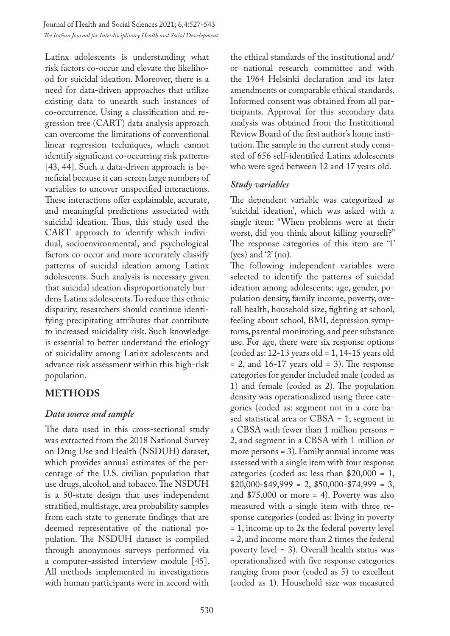Latinx adolescents is understanding what risk factors co-occur and elevate the likelihood for suicidal ideation. Moreover, there is a need for data-driven approaches that utilize existing data to unearth such instances of co-occurrence. Using a classification and regression tree (CART) data analysis approach can overcome the limitations of conventional linear regression techniques, which cannot identify significant co-occurring risk patterns [43, 44]. Such a data-driven approach is beneficial because it can screen large numbers of variables to uncover unspecified interactions. These interactions offer explainable, accurate, and meaningful predictions associated with suicidal ideation. Thus, this study used the CART approach to identify which individual, socioenvironmental, and psychological factors co-occur and more accurately classify patterns of suicidal ideation among Latinx adolescents. Such analysis is necessary given that suicidal ideation disproportionately burdens Latinx adolescents. To reduce this ethnic disparity, researchers should continue identifying precipitating attributes that contribute to increased suicidality risk. Such knowledge is essential to better understand the etiology of suicidality among Latinx adolescents and advance risk assessment within this high-risk population.

# **METHODS**

### *Data source and sample*

The data used in this cross-sectional study was extracted from the 2018 National Survey on Drug Use and Health (NSDUH) dataset, which provides annual estimates of the percentage of the U.S. civilian population that use drugs, alcohol, and tobacco. The NSDUH is a 50-state design that uses independent stratified, multistage, area probability samples from each state to generate findings that are deemed representative of the national population. The NSDUH dataset is compiled through anonymous surveys performed via a computer-assisted interview module [45]. All methods implemented in investigations with human participants were in accord with

the ethical standards of the institutional and/ or national research committee and with the 1964 Helsinki declaration and its later amendments or comparable ethical standards. Informed consent was obtained from all participants. Approval for this secondary data analysis was obtained from the Institutional Review Board of the first author's home institution. The sample in the current study consisted of 656 self-identified Latinx adolescents who were aged between 12 and 17 years old.

#### *Study variables*

The dependent variable was categorized as 'suicidal ideation', which was asked with a single item: "When problems were at their worst, did you think about killing yourself?" The response categories of this item are '1' (yes) and  $2'(no)$ .

The following independent variables were selected to identify the patterns of suicidal ideation among adolescents: age, gender, population density, family income, poverty, overall health, household size, fighting at school, feeling about school, BMI, depression symptoms, parental monitoring, and peer substance use. For age, there were six response options  $(coded as: 12-13 years old = 1, 14-15 years old$  $= 2$ , and 16-17 years old  $= 3$ ). The response categories for gender included male (coded as 1) and female (coded as 2). The population density was operationalized using three categories (coded as: segment not in a core-based statistical area or CBSA = 1, segment in a CBSA with fewer than 1 million persons = 2, and segment in a CBSA with 1 million or more persons = 3). Family annual income was assessed with a single item with four response categories (coded as: less than \$20,000 = 1,  $$20,000-\$49,999 = 2, $50,000-\$74,999 = 3,$ and  $$75,000$  or more = 4). Poverty was also measured with a single item with three response categories (coded as: living in poverty = 1, income up to 2x the federal poverty level = 2, and income more than 2 times the federal poverty level = 3). Overall health status was operationalized with five response categories ranging from poor (coded as 5) to excellent (coded as 1). Household size was measured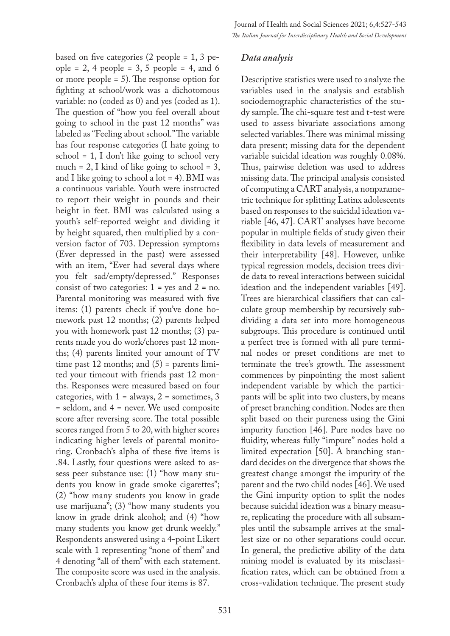based on five categories (2 people = 1, 3 pe $ople = 2$ , 4 people = 3, 5 people = 4, and 6 or more people = 5). The response option for fighting at school/work was a dichotomous variable: no (coded as 0) and yes (coded as 1). The question of "how you feel overall about going to school in the past 12 months" was labeled as "Feeling about school." The variable has four response categories (I hate going to school  $= 1$ , I don't like going to school very much =  $2$ , I kind of like going to school =  $3$ , and I like going to school a lot  $= 4$ ). BMI was a continuous variable. Youth were instructed to report their weight in pounds and their height in feet. BMI was calculated using a youth's self-reported weight and dividing it by height squared, then multiplied by a conversion factor of 703. Depression symptoms (Ever depressed in the past) were assessed with an item, "Ever had several days where you felt sad/empty/depressed." Responses consist of two categories:  $1 = yes$  and  $2 = no$ . Parental monitoring was measured with five items: (1) parents check if you've done homework past 12 months; (2) parents helped you with homework past 12 months; (3) parents made you do work/chores past 12 months; (4) parents limited your amount of TV time past 12 months; and  $(5)$  = parents limited your timeout with friends past 12 months. Responses were measured based on four categories, with  $1 =$  always,  $2 =$  sometimes,  $3$ = seldom, and 4 = never. We used composite score after reversing score. The total possible scores ranged from 5 to 20, with higher scores indicating higher levels of parental monitoring. Cronbach's alpha of these five items is .84. Lastly, four questions were asked to assess peer substance use: (1) "how many students you know in grade smoke cigarettes"; (2) "how many students you know in grade use marijuana"; (3) "how many students you know in grade drink alcohol; and (4) "how many students you know get drunk weekly." Respondents answered using a 4-point Likert scale with 1 representing "none of them" and 4 denoting "all of them" with each statement. The composite score was used in the analysis. Cronbach's alpha of these four items is 87.

#### *Data analysis*

Descriptive statistics were used to analyze the variables used in the analysis and establish sociodemographic characteristics of the study sample. The chi-square test and t-test were used to assess bivariate associations among selected variables. There was minimal missing data present; missing data for the dependent variable suicidal ideation was roughly 0.08%. Thus, pairwise deletion was used to address missing data. The principal analysis consisted of computing a CART analysis, a nonparametric technique for splitting Latinx adolescents based on responses to the suicidal ideation variable [46, 47]. CART analyses have become popular in multiple fields of study given their flexibility in data levels of measurement and their interpretability [48]. However, unlike typical regression models, decision trees divide data to reveal interactions between suicidal ideation and the independent variables [49]. Trees are hierarchical classifiers that can calculate group membership by recursively subdividing a data set into more homogeneous subgroups. This procedure is continued until a perfect tree is formed with all pure terminal nodes or preset conditions are met to terminate the tree's growth. The assessment commences by pinpointing the most salient independent variable by which the participants will be split into two clusters, by means of preset branching condition. Nodes are then split based on their pureness using the Gini impurity function [46]. Pure nodes have no fluidity, whereas fully "impure" nodes hold a limited expectation [50]. A branching standard decides on the divergence that shows the greatest change amongst the impurity of the parent and the two child nodes [46]. We used the Gini impurity option to split the nodes because suicidal ideation was a binary measure, replicating the procedure with all subsamples until the subsample arrives at the smallest size or no other separations could occur. In general, the predictive ability of the data mining model is evaluated by its misclassification rates, which can be obtained from a cross-validation technique. The present study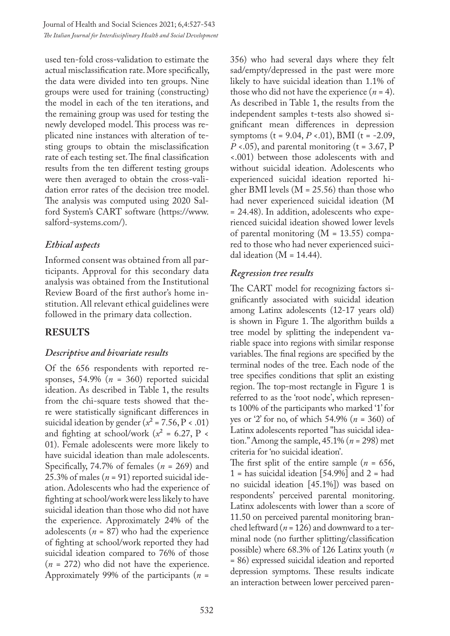used ten-fold cross-validation to estimate the actual misclassification rate. More specifically, the data were divided into ten groups. Nine groups were used for training (constructing) the model in each of the ten iterations, and the remaining group was used for testing the newly developed model. This process was replicated nine instances with alteration of testing groups to obtain the misclassification rate of each testing set. The final classification results from the ten different testing groups were then averaged to obtain the cross-validation error rates of the decision tree model. The analysis was computed using 2020 Salford System's CART software (https://www. salford-systems.com/).

### *Ethical aspects*

Informed consent was obtained from all participants. Approval for this secondary data analysis was obtained from the Institutional Review Board of the first author's home institution. All relevant ethical guidelines were followed in the primary data collection.

# **RESULTS**

### *Descriptive and bivariate results*

Of the 656 respondents with reported responses,  $54.9\%$  ( $n = 360$ ) reported suicidal ideation. As described in Table 1, the results from the chi-square tests showed that there were statistically significant differences in suicidal ideation by gender  $(x^2 = 7.56, P < .01)$ and fighting at school/work  $(x^2 = 6.27, P \le$ 01). Female adolescents were more likely to have suicidal ideation than male adolescents. Specifically, 74.7% of females (*n* = 269) and 25.3% of males  $(n = 91)$  reported suicidal ideation. Adolescents who had the experience of fighting at school/work were less likely to have suicidal ideation than those who did not have the experience. Approximately 24% of the adolescents (*n* = 87) who had the experience of fighting at school/work reported they had suicidal ideation compared to 76% of those  $(n = 272)$  who did not have the experience. Approximately 99% of the participants (*n* =

356) who had several days where they felt sad/empty/depressed in the past were more likely to have suicidal ideation than 1.1% of those who did not have the experience  $(n = 4)$ . As described in Table 1, the results from the independent samples t-tests also showed significant mean differences in depression symptoms (t = 9.04, *P* <.01), BMI (t = -2.09,  $P \lt 0.05$ ), and parental monitoring (t = 3.67, P <.001) between those adolescents with and without suicidal ideation. Adolescents who experienced suicidal ideation reported higher BMI levels ( $M = 25.56$ ) than those who had never experienced suicidal ideation (M = 24.48). In addition, adolescents who experienced suicidal ideation showed lower levels of parental monitoring  $(M = 13.55)$  compared to those who had never experienced suicidal ideation ( $M = 14.44$ ).

#### *Regression tree results*

The CART model for recognizing factors significantly associated with suicidal ideation among Latinx adolescents (12-17 years old) is shown in Figure 1. The algorithm builds a tree model by splitting the independent variable space into regions with similar response variables. The final regions are specified by the terminal nodes of the tree. Each node of the tree specifies conditions that split an existing region. The top-most rectangle in Figure 1 is referred to as the 'root node', which represents 100% of the participants who marked '1' for yes or '2' for no, of which 54.9% (*n* = 360) of Latinx adolescents reported "has suicidal ideation." Among the sample, 45.1% (*n* = 298) met criteria for 'no suicidal ideation'.

The first split of the entire sample (*n* = 656, 1 = has suicidal ideation  $[54.9\%]$  and 2 = had no suicidal ideation [45.1%]) was based on respondents' perceived parental monitoring. Latinx adolescents with lower than a score of 11.50 on perceived parental monitoring branched leftward (*n* = 126) and downward to a terminal node (no further splitting/classification possible) where 68.3% of 126 Latinx youth (*n* = 86) expressed suicidal ideation and reported depression symptoms. These results indicate an interaction between lower perceived paren-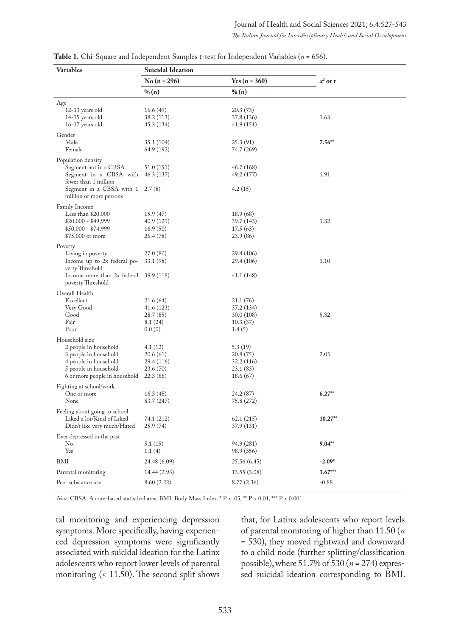| <b>Variables</b>                                                                                                                                             | <b>Suicidal Ideation</b>                                     |                                                              |            |
|--------------------------------------------------------------------------------------------------------------------------------------------------------------|--------------------------------------------------------------|--------------------------------------------------------------|------------|
|                                                                                                                                                              | $No (n = 296)$                                               | Yes $(n = 360)$                                              | $x^2$ or t |
|                                                                                                                                                              | $\%$ (n)                                                     | % (n)                                                        |            |
| Age<br>$12-13$ years old<br>14-15 years old<br>16-17 years old                                                                                               | 16.6 (49)<br>38.2 (113)<br>45.3 (134)                        | 20.3 (73)<br>37.8 (136)<br>41.9 (151)                        | 1.63       |
| Gender<br>Male<br>Female                                                                                                                                     | 35.1 (104)<br>64.9 (192)                                     | 25.3(91)<br>74.7 (269)                                       | $7.56**$   |
| Population density<br>Segment not in a CBSA<br>Segment in a CBSA with<br>fewer than 1 million<br>Segment in a CBSA with 1 2.7 (8)<br>million or more persons | 51.0 (151)<br>46.3 (137)                                     | 46.7 (168)<br>49.2 (177)<br>4.2 (15)                         | 1.91       |
| Family Income<br>Less than $$20,000$<br>\$20,000 - \$49,999<br>$$50,000 - $74,999$<br>\$75,000 or more                                                       | 15.9(47)<br>40.9 (121)<br>16.9(50)<br>26.4 (78)              | 18.9 (68)<br>39.7 (143)<br>17.5(63)<br>23.9 (86)             | 1.32       |
| Poverty<br>Living in poverty<br>Income up to 2x federal po-<br>verty Threshold<br>Income more than 2x federal 39.9 (118)<br>poverty Threshold                | 27.0 (80)<br>33.1 (98)                                       | 29.4 (106)<br>29.4 (106)<br>41.1 (148)                       | 1.10       |
| Overall Health<br>Excellent<br>Very Good<br>Good<br>Fair<br>Poor                                                                                             | 21.6 (64)<br>41.6 (123)<br>28.7 (85)<br>8.1(24)<br>0.0(0)    | 21.1(76)<br>37.2 (134)<br>30.0 (108)<br>10.3(37)<br>1.4(5)   | 5.82       |
| Household size<br>2 people in household<br>3 people in household<br>4 people in household<br>5 people in household<br>6 or more people in household          | 4.1(12)<br>20.6 (61)<br>29.4 (116)<br>23.6 (70)<br>22.3 (66) | 5.3 (19)<br>20.8 (75)<br>32.2 (116)<br>23.1 (83)<br>18.6(67) | 2.05       |
| Fighting at school/work<br>One or more<br>None                                                                                                               | 16.3 (48)<br>83.7 (247)                                      | 24.2 (87)<br>75.8 (272)                                      | $6.27**$   |
| Feeling about going to school<br>Liked a lot/Kind of Liked<br>Didn't like very much/Hated                                                                    | 74.1 (212)<br>25.9 (74)                                      | 62.1(215)<br>37.9 (131)                                      | $10.27**$  |
| Ever depressed in the past<br>No<br>Yes                                                                                                                      | 5.1(15)<br>1.1(4)                                            | 94.9 (281)<br>98.9 (356)                                     | $9.04**$   |
| BMI                                                                                                                                                          | 24.48 (6.09)                                                 | 25.56 (6.45)                                                 | $-2.09*$   |
| Parental monitoring                                                                                                                                          | 14.44 (2.93)                                                 | 13.55(3.08)                                                  | $3.67***$  |
| Peer substance use                                                                                                                                           | 8.60(2.22)                                                   | 8.77(2.36)                                                   | $-0.88$    |

| Table 1. Chi-Square and Independent Samples t-test for Independent Variables ( $n = 656$ ). |  |  |  |
|---------------------------------------------------------------------------------------------|--|--|--|
|---------------------------------------------------------------------------------------------|--|--|--|

*Note*. CBSA: A core-based statistical area. BMI: Body Mass Index. \* P < .05, \*\* P < 0.01, \*\*\* P < 0.001.

tal monitoring and experiencing depression symptoms. More specifically, having experienced depression symptoms were significantly associated with suicidal ideation for the Latinx adolescents who report lower levels of parental monitoring (< 11.50). The second split shows

that, for Latinx adolescents who report levels of parental monitoring of higher than 11.50 (*n* = 530), they moved rightward and downward to a child node (further splitting/classification possible), where 51.7% of 530 (*n* = 274) expressed suicidal ideation corresponding to BMI.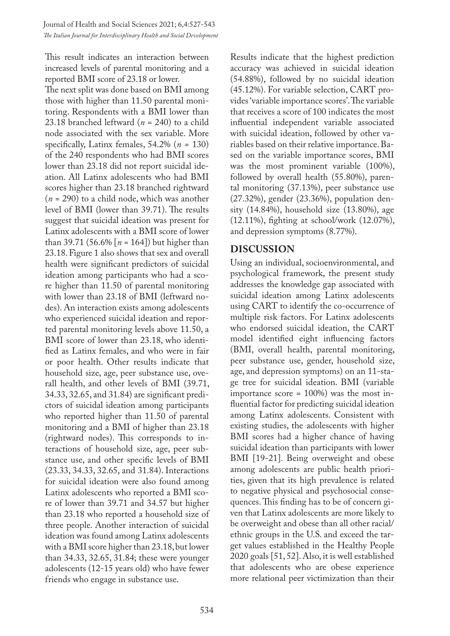This result indicates an interaction between increased levels of parental monitoring and a reported BMI score of 23.18 or lower.

The next split was done based on BMI among those with higher than 11.50 parental monitoring. Respondents with a BMI lower than 23.18 branched leftward  $(n = 240)$  to a child node associated with the sex variable. More specifically, Latinx females, 54.2% (*n* = 130) of the 240 respondents who had BMI scores lower than 23.18 did not report suicidal ideation. All Latinx adolescents who had BMI scores higher than 23.18 branched rightward (*n* = 290) to a child node, which was another level of BMI (lower than 39.71). The results suggest that suicidal ideation was present for Latinx adolescents with a BMI score of lower than 39.71 (56.6% [*n* = 164]) but higher than 23.18. Figure 1 also shows that sex and overall health were significant predictors of suicidal ideation among participants who had a score higher than 11.50 of parental monitoring with lower than 23.18 of BMI (leftward nodes). An interaction exists among adolescents who experienced suicidal ideation and reported parental monitoring levels above 11.50, a BMI score of lower than 23.18, who identified as Latinx females, and who were in fair or poor health. Other results indicate that household size, age, peer substance use, overall health, and other levels of BMI (39.71, 34.33, 32.65, and 31.84) are significant predictors of suicidal ideation among participants who reported higher than 11.50 of parental monitoring and a BMI of higher than 23.18 (rightward nodes). This corresponds to interactions of household size, age, peer substance use, and other specific levels of BMI (23.33, 34.33, 32.65, and 31.84). Interactions for suicidal ideation were also found among Latinx adolescents who reported a BMI score of lower than 39.71 and 34.57 but higher than 23.18 who reported a household size of three people. Another interaction of suicidal ideation was found among Latinx adolescents with a BMI score higher than 23.18, but lower than 34.33, 32.65, 31.84; these were younger adolescents (12-15 years old) who have fewer friends who engage in substance use.

Results indicate that the highest prediction accuracy was achieved in suicidal ideation (54.88%), followed by no suicidal ideation (45.12%). For variable selection, CART provides 'variable importance scores'. The variable that receives a score of 100 indicates the most influential independent variable associated with suicidal ideation, followed by other variables based on their relative importance. Based on the variable importance scores, BMI was the most prominent variable (100%), followed by overall health (55.80%), parental monitoring (37.13%), peer substance use (27.32%), gender (23.36%), population density (14.84%), household size (13.80%), age (12.11%), fighting at school/work (12.07%), and depression symptoms (8.77%).

## **DISCUSSION**

Using an individual, socioenvironmental, and psychological framework, the present study addresses the knowledge gap associated with suicidal ideation among Latinx adolescents using CART to identify the co-occurrence of multiple risk factors. For Latinx adolescents who endorsed suicidal ideation, the CART model identified eight influencing factors (BMI, overall health, parental monitoring, peer substance use, gender, household size, age, and depression symptoms) on an 11-stage tree for suicidal ideation. BMI (variable importance score = 100%) was the most influential factor for predicting suicidal ideation among Latinx adolescents. Consistent with existing studies, the adolescents with higher BMI scores had a higher chance of having suicidal ideation than participants with lower BMI [19-21]. Being overweight and obese among adolescents are public health priorities, given that its high prevalence is related to negative physical and psychosocial consequences. This finding has to be of concern given that Latinx adolescents are more likely to be overweight and obese than all other racial/ ethnic groups in the U.S. and exceed the target values established in the Healthy People 2020 goals [51, 52]. Also, it is well established that adolescents who are obese experience more relational peer victimization than their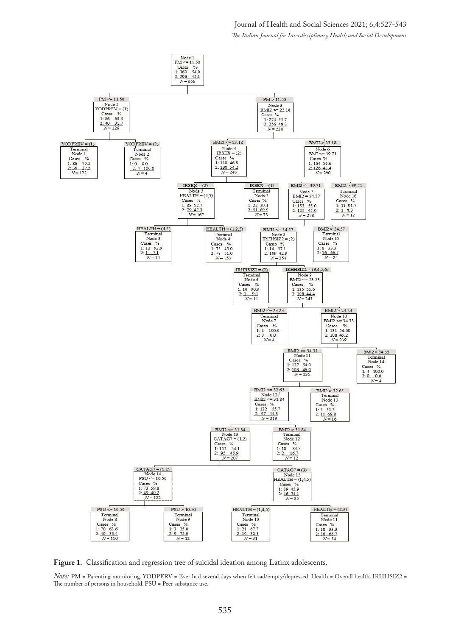

**Figure 1.** Classification and regression tree of suicidal ideation among Latinx adolescents.

*Note:* PM = Parenting monitoring. YODPERV = Ever had several days when felt sad/empty/depressed. Health = Overall health. IRHHSIZ2 = The number of persons in household. PSU = Peer substance use.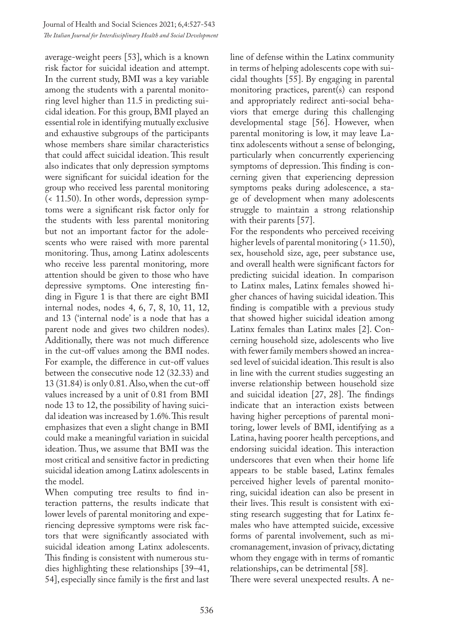average-weight peers [53], which is a known risk factor for suicidal ideation and attempt. In the current study, BMI was a key variable among the students with a parental monitoring level higher than 11.5 in predicting suicidal ideation. For this group, BMI played an essential role in identifying mutually exclusive and exhaustive subgroups of the participants whose members share similar characteristics that could affect suicidal ideation. This result also indicates that only depression symptoms were significant for suicidal ideation for the group who received less parental monitoring (< 11.50). In other words, depression symptoms were a significant risk factor only for the students with less parental monitoring but not an important factor for the adolescents who were raised with more parental monitoring. Thus, among Latinx adolescents who receive less parental monitoring, more attention should be given to those who have depressive symptoms. One interesting finding in Figure 1 is that there are eight BMI internal nodes, nodes 4, 6, 7, 8, 10, 11, 12, and 13 ('internal node' is a node that has a parent node and gives two children nodes). Additionally, there was not much difference in the cut-off values among the BMI nodes. For example, the difference in cut-off values between the consecutive node 12 (32.33) and 13 (31.84) is only 0.81. Also, when the cut-off values increased by a unit of 0.81 from BMI node 13 to 12, the possibility of having suicidal ideation was increased by 1.6%. This result emphasizes that even a slight change in BMI could make a meaningful variation in suicidal ideation. Thus, we assume that BMI was the most critical and sensitive factor in predicting suicidal ideation among Latinx adolescents in the model.

When computing tree results to find interaction patterns, the results indicate that lower levels of parental monitoring and experiencing depressive symptoms were risk factors that were significantly associated with suicidal ideation among Latinx adolescents. This finding is consistent with numerous studies highlighting these relationships [39–41, 54], especially since family is the first and last

line of defense within the Latinx community in terms of helping adolescents cope with suicidal thoughts [55]. By engaging in parental monitoring practices, parent(s) can respond and appropriately redirect anti-social behaviors that emerge during this challenging developmental stage [56]. However, when parental monitoring is low, it may leave Latinx adolescents without a sense of belonging, particularly when concurrently experiencing symptoms of depression. This finding is concerning given that experiencing depression symptoms peaks during adolescence, a stage of development when many adolescents struggle to maintain a strong relationship with their parents [57].

For the respondents who perceived receiving higher levels of parental monitoring (> 11.50), sex, household size, age, peer substance use, and overall health were significant factors for predicting suicidal ideation. In comparison to Latinx males, Latinx females showed higher chances of having suicidal ideation. This finding is compatible with a previous study that showed higher suicidal ideation among Latinx females than Latinx males [2]. Concerning household size, adolescents who live with fewer family members showed an increased level of suicidal ideation. This result is also in line with the current studies suggesting an inverse relationship between household size and suicidal ideation [27, 28]. The findings indicate that an interaction exists between having higher perceptions of parental monitoring, lower levels of BMI, identifying as a Latina, having poorer health perceptions, and endorsing suicidal ideation. This interaction underscores that even when their home life appears to be stable based, Latinx females perceived higher levels of parental monitoring, suicidal ideation can also be present in their lives. This result is consistent with existing research suggesting that for Latinx females who have attempted suicide, excessive forms of parental involvement, such as micromanagement, invasion of privacy, dictating whom they engage with in terms of romantic relationships, can be detrimental [58].

There were several unexpected results. A ne-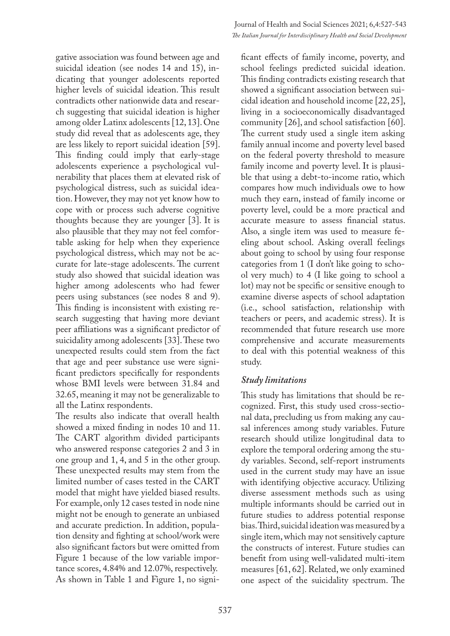gative association was found between age and suicidal ideation (see nodes 14 and 15), indicating that younger adolescents reported higher levels of suicidal ideation. This result contradicts other nationwide data and research suggesting that suicidal ideation is higher among older Latinx adolescents [12, 13]. One study did reveal that as adolescents age, they are less likely to report suicidal ideation [59]. This finding could imply that early-stage adolescents experience a psychological vulnerability that places them at elevated risk of psychological distress, such as suicidal ideation. However, they may not yet know how to cope with or process such adverse cognitive thoughts because they are younger [3]. It is also plausible that they may not feel comfortable asking for help when they experience psychological distress, which may not be accurate for late-stage adolescents. The current study also showed that suicidal ideation was higher among adolescents who had fewer peers using substances (see nodes 8 and 9). This finding is inconsistent with existing research suggesting that having more deviant peer affiliations was a significant predictor of suicidality among adolescents [33]. These two unexpected results could stem from the fact that age and peer substance use were significant predictors specifically for respondents whose BMI levels were between 31.84 and 32.65, meaning it may not be generalizable to all the Latinx respondents.

The results also indicate that overall health showed a mixed finding in nodes 10 and 11. The CART algorithm divided participants who answered response categories 2 and 3 in one group and 1, 4, and 5 in the other group. These unexpected results may stem from the limited number of cases tested in the CART model that might have yielded biased results. For example, only 12 cases tested in node nine might not be enough to generate an unbiased and accurate prediction. In addition, population density and fighting at school/work were also significant factors but were omitted from Figure 1 because of the low variable importance scores, 4.84% and 12.07%, respectively. As shown in Table 1 and Figure 1, no significant effects of family income, poverty, and school feelings predicted suicidal ideation. This finding contradicts existing research that showed a significant association between suicidal ideation and household income [22, 25], living in a socioeconomically disadvantaged community [26], and school satisfaction [60]. The current study used a single item asking family annual income and poverty level based on the federal poverty threshold to measure family income and poverty level. It is plausible that using a debt-to-income ratio, which compares how much individuals owe to how much they earn, instead of family income or poverty level, could be a more practical and accurate measure to assess financial status. Also, a single item was used to measure feeling about school. Asking overall feelings about going to school by using four response categories from 1 (I don't like going to school very much) to 4 (I like going to school a lot) may not be specific or sensitive enough to examine diverse aspects of school adaptation (i.e., school satisfaction, relationship with teachers or peers, and academic stress). It is recommended that future research use more comprehensive and accurate measurements to deal with this potential weakness of this study.

#### *Study limitations*

This study has limitations that should be recognized. First, this study used cross-sectional data, precluding us from making any causal inferences among study variables. Future research should utilize longitudinal data to explore the temporal ordering among the study variables. Second, self-report instruments used in the current study may have an issue with identifying objective accuracy. Utilizing diverse assessment methods such as using multiple informants should be carried out in future studies to address potential response bias. Third, suicidal ideation was measured by a single item, which may not sensitively capture the constructs of interest. Future studies can benefit from using well-validated multi-item measures [61, 62]. Related, we only examined one aspect of the suicidality spectrum. The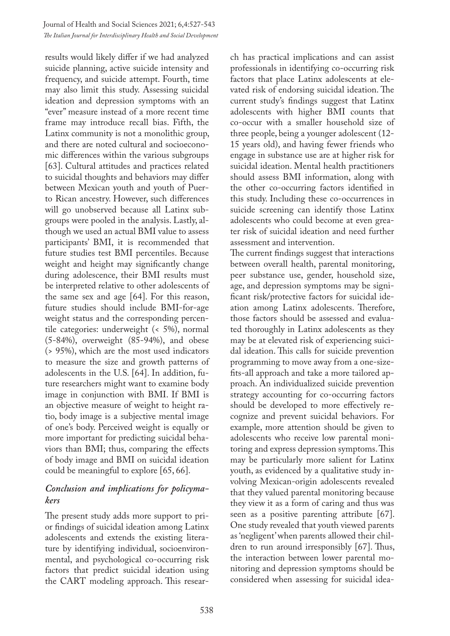results would likely differ if we had analyzed suicide planning, active suicide intensity and frequency, and suicide attempt. Fourth, time may also limit this study. Assessing suicidal ideation and depression symptoms with an "ever" measure instead of a more recent time frame may introduce recall bias. Fifth, the Latinx community is not a monolithic group, and there are noted cultural and socioeconomic differences within the various subgroups [63]. Cultural attitudes and practices related to suicidal thoughts and behaviors may differ between Mexican youth and youth of Puerto Rican ancestry. However, such differences will go unobserved because all Latinx subgroups were pooled in the analysis. Lastly, although we used an actual BMI value to assess participants' BMI, it is recommended that future studies test BMI percentiles. Because weight and height may significantly change during adolescence, their BMI results must be interpreted relative to other adolescents of the same sex and age [64]. For this reason, future studies should include BMI-for-age weight status and the corresponding percentile categories: underweight (< 5%), normal (5-84%), overweight (85-94%), and obese (> 95%), which are the most used indicators to measure the size and growth patterns of adolescents in the U.S. [64]. In addition, future researchers might want to examine body image in conjunction with BMI. If BMI is an objective measure of weight to height ratio, body image is a subjective mental image of one's body. Perceived weight is equally or more important for predicting suicidal behaviors than BMI; thus, comparing the effects of body image and BMI on suicidal ideation could be meaningful to explore [65, 66].

## *Conclusion and implications for policymakers*

The present study adds more support to prior findings of suicidal ideation among Latinx adolescents and extends the existing literature by identifying individual, socioenvironmental, and psychological co-occurring risk factors that predict suicidal ideation using the CART modeling approach. This research has practical implications and can assist professionals in identifying co-occurring risk factors that place Latinx adolescents at elevated risk of endorsing suicidal ideation. The current study's findings suggest that Latinx adolescents with higher BMI counts that co-occur with a smaller household size of three people, being a younger adolescent (12- 15 years old), and having fewer friends who engage in substance use are at higher risk for suicidal ideation. Mental health practitioners should assess BMI information, along with the other co-occurring factors identified in this study. Including these co-occurrences in suicide screening can identify those Latinx adolescents who could become at even greater risk of suicidal ideation and need further assessment and intervention.

The current findings suggest that interactions between overall health, parental monitoring, peer substance use, gender, household size, age, and depression symptoms may be significant risk/protective factors for suicidal ideation among Latinx adolescents. Therefore, those factors should be assessed and evaluated thoroughly in Latinx adolescents as they may be at elevated risk of experiencing suicidal ideation. This calls for suicide prevention programming to move away from a one-sizefits-all approach and take a more tailored approach. An individualized suicide prevention strategy accounting for co-occurring factors should be developed to more effectively recognize and prevent suicidal behaviors. For example, more attention should be given to adolescents who receive low parental monitoring and express depression symptoms. This may be particularly more salient for Latinx youth, as evidenced by a qualitative study involving Mexican-origin adolescents revealed that they valued parental monitoring because they view it as a form of caring and thus was seen as a positive parenting attribute [67]. One study revealed that youth viewed parents as 'negligent' when parents allowed their children to run around irresponsibly [67]. Thus, the interaction between lower parental monitoring and depression symptoms should be considered when assessing for suicidal idea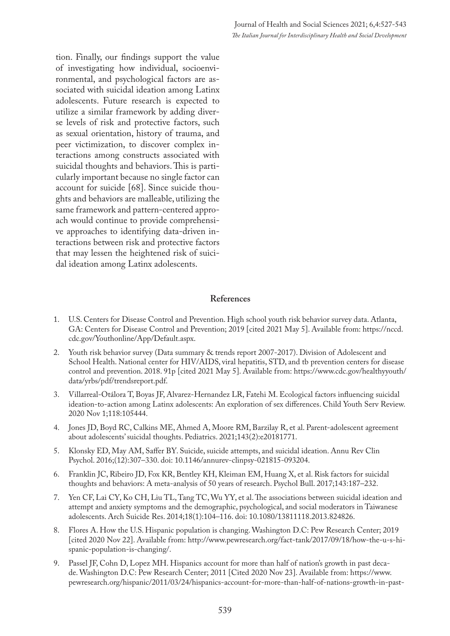tion. Finally, our findings support the value of investigating how individual, socioenvironmental, and psychological factors are associated with suicidal ideation among Latinx adolescents. Future research is expected to utilize a similar framework by adding diverse levels of risk and protective factors, such as sexual orientation, history of trauma, and peer victimization, to discover complex interactions among constructs associated with suicidal thoughts and behaviors. This is particularly important because no single factor can account for suicide [68]. Since suicide thoughts and behaviors are malleable, utilizing the same framework and pattern-centered approach would continue to provide comprehensive approaches to identifying data-driven interactions between risk and protective factors that may lessen the heightened risk of suicidal ideation among Latinx adolescents.

#### **References**

- 1. U.S. Centers for Disease Control and Prevention. High school youth risk behavior survey data. Atlanta, GA: Centers for Disease Control and Prevention; 2019 [cited 2021 May 5]. Available from: https://nccd. cdc.gov/Youthonline/App/Default.aspx.
- 2. Youth risk behavior survey (Data summary & trends report 2007-2017). Division of Adolescent and School Health. National center for HIV/AIDS, viral hepatitis, STD, and tb prevention centers for disease control and prevention. 2018. 91p [cited 2021 May 5]. Available from: https://www.cdc.gov/healthyyouth/ data/yrbs/pdf/trendsreport.pdf.
- 3. Villarreal-Otálora T, Boyas JF, Alvarez-Hernandez LR, Fatehi M. Ecological factors influencing suicidal ideation-to-action among Latinx adolescents: An exploration of sex differences. Child Youth Serv Review. 2020 Nov 1;118:105444.
- 4. Jones JD, Boyd RC, Calkins ME, Ahmed A, Moore RM, Barzilay R, et al. Parent-adolescent agreement about adolescents' suicidal thoughts. Pediatrics. 2021;143(2):e20181771.
- 5. Klonsky ED, May AM, Saffer BY. Suicide, suicide attempts, and suicidal ideation. Annu Rev Clin Psychol. 2016;(12):307–330. doi: 10.1146/annurev-clinpsy-021815-093204.
- 6. Franklin JC, Ribeiro JD, Fox KR, Bentley KH, Kleiman EM, Huang X, et al. Risk factors for suicidal thoughts and behaviors: A meta-analysis of 50 years of research. Psychol Bull. 2017;143:187–232.
- 7. Yen CF, Lai CY, Ko CH, Liu TL, Tang TC, Wu YY, et al. The associations between suicidal ideation and attempt and anxiety symptoms and the demographic, psychological, and social moderators in Taiwanese adolescents. Arch Suicide Res. 2014;18(1):104–116. doi: 10.1080/13811118.2013.824826.
- 8. Flores A. How the U.S. Hispanic population is changing. Washington D.C: Pew Research Center; 2019 [cited 2020 Nov 22]. Available from: http://www.pewresearch.org/fact-tank/2017/09/18/how-the-u-s-hispanic-population-is-changing/.
- 9. Passel JF, Cohn D, Lopez MH. Hispanics account for more than half of nation's growth in past decade. Washington D.C: Pew Research Center; 2011 [Cited 2020 Nov 23]. Available from: https://www. pewresearch.org/hispanic/2011/03/24/hispanics-account-for-more-than-half-of-nations-growth-in-past-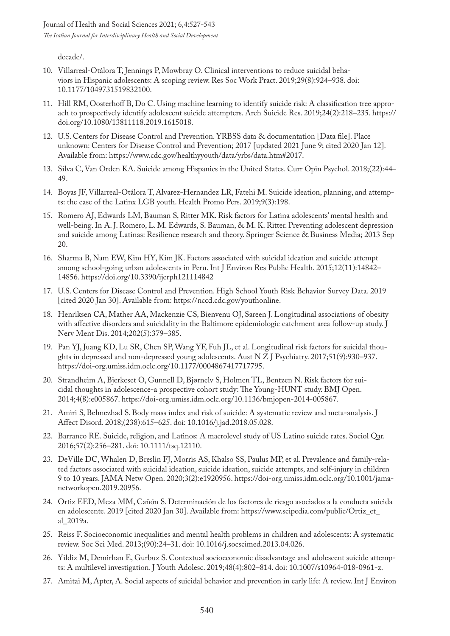decade/.

- 10. Villarreal-Otálora T, Jennings P, Mowbray O. Clinical interventions to reduce suicidal behaviors in Hispanic adolescents: A scoping review. Res Soc Work Pract. 2019;29(8):924–938. doi: 10.1177/1049731519832100.
- 11. Hill RM, Oosterhoff B, Do C. Using machine learning to identify suicide risk: A classification tree approach to prospectively identify adolescent suicide attempters. Arch Suicide Res. 2019;24(2):218–235. https:// doi.org/10.1080/13811118.2019.1615018.
- 12. U.S. Centers for Disease Control and Prevention. YRBSS data & documentation [Data file]. Place unknown: Centers for Disease Control and Prevention; 2017 [updated 2021 June 9; cited 2020 Jan 12]. Available from: https://www.cdc.gov/healthyyouth/data/yrbs/data.htm#2017.
- 13. Silva C, Van Orden KA. Suicide among Hispanics in the United States. Curr Opin Psychol. 2018;(22):44– 49.
- 14. Boyas JF, Villarreal-Otálora T, Alvarez-Hernandez LR, Fatehi M. Suicide ideation, planning, and attempts: the case of the Latinx LGB youth. Health Promo Pers. 2019;9(3):198.
- 15. Romero AJ, Edwards LM, Bauman S, Ritter MK. Risk factors for Latina adolescents' mental health and well-being. In A. J. Romero, L. M. Edwards, S. Bauman, & M. K. Ritter. Preventing adolescent depression and suicide among Latinas: Resilience research and theory. Springer Science & Business Media; 2013 Sep 20.
- 16. Sharma B, Nam EW, Kim HY, Kim JK. Factors associated with suicidal ideation and suicide attempt among school-going urban adolescents in Peru. Int J Environ Res Public Health. 2015;12(11):14842– 14856. https://doi.org/10.3390/ijerph121114842
- 17. U.S. Centers for Disease Control and Prevention. High School Youth Risk Behavior Survey Data. 2019 [cited 2020 Jan 30]. Available from: https://nccd.cdc.gov/youthonline.
- 18. Henriksen CA, Mather AA, Mackenzie CS, Bienvenu OJ, Sareen J. Longitudinal associations of obesity with affective disorders and suicidality in the Baltimore epidemiologic catchment area follow-up study. J Nerv Ment Dis. 2014;202(5):379–385.
- 19. Pan YJ, Juang KD, Lu SR, Chen SP, Wang YF, Fuh JL, et al. Longitudinal risk factors for suicidal thoughts in depressed and non-depressed young adolescents. Aust N Z J Psychiatry. 2017;51(9):930–937. https://doi-org.umiss.idm.oclc.org/10.1177/0004867417717795.
- 20. Strandheim A, Bjerkeset O, Gunnell D, Bjørnelv S, Holmen TL, Bentzen N. Risk factors for suicidal thoughts in adolescence-a prospective cohort study: The Young-HUNT study. BMJ Open. 2014;4(8):e005867. https://doi-org.umiss.idm.oclc.org/10.1136/bmjopen-2014-005867.
- 21. Amiri S, Behnezhad S. Body mass index and risk of suicide: A systematic review and meta-analysis. J Affect Disord. 2018;(238):615–625. doi: 10.1016/j.jad.2018.05.028.
- 22. Barranco RE. Suicide, religion, and Latinos: A macrolevel study of US Latino suicide rates. Sociol Qar. 2016;57(2):256–281. doi: 10.1111/tsq.12110.
- 23. DeVille DC, Whalen D, Breslin FJ, Morris AS, Khalso SS, Paulus MP, et al. Prevalence and family-related factors associated with suicidal ideation, suicide ideation, suicide attempts, and self-injury in children 9 to 10 years. JAMA Netw Open. 2020;3(2):e1920956. https://doi-org.umiss.idm.oclc.org/10.1001/jamanetworkopen.2019.20956.
- 24. Ortiz EED, Meza MM, Cañón S. Determinación de los factores de riesgo asociados a la conducta suicida en adolescente. 2019 [cited 2020 Jan 30]. Available from: https://www.scipedia.com/public/Ortiz\_et\_ al\_2019a.
- 25. Reiss F. Socioeconomic inequalities and mental health problems in children and adolescents: A systematic review. Soc Sci Med. 2013;(90):24–31. doi: 10.1016/j.socscimed.2013.04.026.
- 26. Yildiz M, Demirhan E, Gurbuz S. Contextual socioeconomic disadvantage and adolescent suicide attempts: A multilevel investigation. J Youth Adolesc. 2019;48(4):802–814. doi: 10.1007/s10964-018-0961-z.
- 27. Amitai M, Apter, A. Social aspects of suicidal behavior and prevention in early life: A review. Int J Environ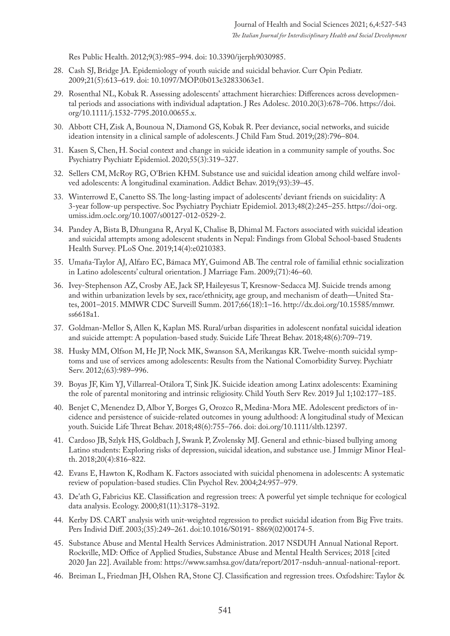Res Public Health. 2012;9(3):985–994. doi: 10.3390/ijerph9030985.

- 28. Cash SJ, Bridge JA. Epidemiology of youth suicide and suicidal behavior. Curr Opin Pediatr. 2009;21(5):613–619. doi: 10.1097/MOP.0b013e32833063e1.
- 29. Rosenthal NL, Kobak R. Assessing adolescents' attachment hierarchies: Differences across developmental periods and associations with individual adaptation. J Res Adolesc. 2010.20(3):678–706. https://doi. org/10.1111/j.1532-7795.2010.00655.x.
- 30. Abbott CH, Zisk A, Bounoua N, Diamond GS, Kobak R. Peer deviance, social networks, and suicide ideation intensity in a clinical sample of adolescents. J Child Fam Stud. 2019;(28):796–804.
- 31. Kasen S, Chen, H. Social context and change in suicide ideation in a community sample of youths. Soc Psychiatry Psychiatr Epidemiol. 2020;55(3):319–327.
- 32. Sellers CM, McRoy RG, O'Brien KHM. Substance use and suicidal ideation among child welfare involved adolescents: A longitudinal examination. Addict Behav. 2019;(93):39–45.
- 33. Winterrowd E, Canetto SS. The long-lasting impact of adolescents' deviant friends on suicidality: A 3-year follow-up perspective. Soc Psychiatry Psychiatr Epidemiol. 2013;48(2):245–255. https://doi-org. umiss.idm.oclc.org/10.1007/s00127-012-0529-2.
- 34. Pandey A, Bista B, Dhungana R, Aryal K, Chalise B, Dhimal M. Factors associated with suicidal ideation and suicidal attempts among adolescent students in Nepal: Findings from Global School-based Students Health Survey. PLoS One. 2019;14(4):e0210383.
- 35. Umaña-Taylor AJ, Alfaro EC, Bámaca MY, Guimond AB. The central role of familial ethnic socialization in Latino adolescents' cultural orientation. J Marriage Fam. 2009;(71):46–60.
- 36. Ivey-Stephenson AZ, Crosby AE, Jack SP, Haileyesus T, Kresnow-Sedacca MJ. Suicide trends among and within urbanization levels by sex, race/ethnicity, age group, and mechanism of death—United States, 2001–2015. MMWR CDC Surveill Summ. 2017;66(18):1–16. http://dx.doi.org/10.15585/mmwr. ss6618a1.
- 37. Goldman-Mellor S, Allen K, Kaplan MS. Rural/urban disparities in adolescent nonfatal suicidal ideation and suicide attempt: A population-based study. Suicide Life Threat Behav. 2018;48(6):709–719.
- 38. Husky MM, Olfson M, He JP, Nock MK, Swanson SA, Merikangas KR. Twelve-month suicidal symptoms and use of services among adolescents: Results from the National Comorbidity Survey. Psychiatr Serv. 2012;(63):989–996.
- 39. Boyas JF, Kim YJ, Villarreal-Otálora T, Sink JK. Suicide ideation among Latinx adolescents: Examining the role of parental monitoring and intrinsic religiosity. Child Youth Serv Rev. 2019 Jul 1;102:177–185.
- 40. Benjet C, Menendez D, Albor Y, Borges G, Orozco R, Medina-Mora ME. Adolescent predictors of incidence and persistence of suicide-related outcomes in young adulthood: A longitudinal study of Mexican youth. Suicide Life Threat Behav. 2018;48(6):755–766. doi: doi.org/10.1111/sltb.12397.
- 41. Cardoso JB, Szlyk HS, Goldbach J, Swank P, Zvolensky MJ. General and ethnic-biased bullying among Latino students: Exploring risks of depression, suicidal ideation, and substance use. J Immigr Minor Health. 2018;20(4):816–822.
- 42. Evans E, Hawton K, Rodham K. Factors associated with suicidal phenomena in adolescents: A systematic review of population-based studies. Clin Psychol Rev. 2004;24:957–979.
- 43. De'ath G, Fabricius KE. Classification and regression trees: A powerful yet simple technique for ecological data analysis. Ecology. 2000;81(11):3178–3192.
- 44. Kerby DS. CART analysis with unit-weighted regression to predict suicidal ideation from Big Five traits. Pers Individ Diff. 2003;(35):249–261. doi:10.1016/S0191- 8869(02)00174-5.
- 45. Substance Abuse and Mental Health Services Administration. 2017 NSDUH Annual National Report. Rockville, MD: Office of Applied Studies, Substance Abuse and Mental Health Services; 2018 [cited 2020 Jan 22]. Available from: https://www.samhsa.gov/data/report/2017-nsduh-annual-national-report.
- 46. Breiman L, Friedman JH, Olshen RA, Stone CJ. Classification and regression trees. Oxfodshire: Taylor &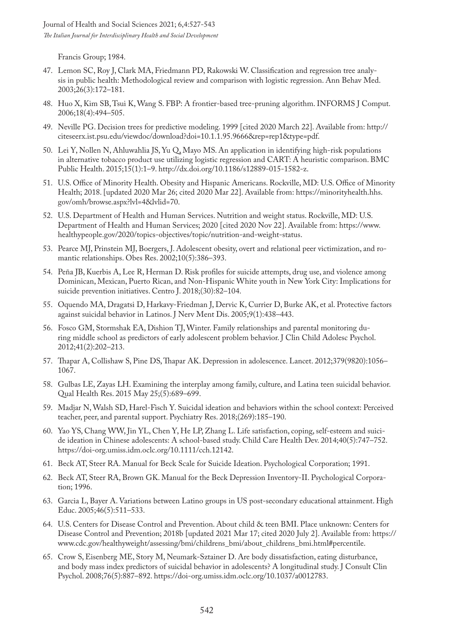Francis Group; 1984.

- 47. Lemon SC, Roy J, Clark MA, Friedmann PD, Rakowski W. Classification and regression tree analysis in public health: Methodological review and comparison with logistic regression. Ann Behav Med. 2003;26(3):172–181.
- 48. Huo X, Kim SB, Tsui K, Wang S. FBP: A frontier-based tree-pruning algorithm. INFORMS J Comput. 2006;18(4):494–505.
- 49. Neville PG. Decision trees for predictive modeling. 1999 [cited 2020 March 22]. Available from: http:// citeseerx.ist.psu.edu/viewdoc/download?doi=10.1.1.95.9666&rep=rep1&type=pdf.
- 50. Lei Y, Nollen N, Ahluwahlia JS, Yu Q, Mayo MS. An application in identifying high-risk populations in alternative tobacco product use utilizing logistic regression and CART: A heuristic comparison. BMC Public Health. 2015;15(1):1–9. http://dx.doi.org/10.1186/s12889-015-1582-z.
- 51. U.S. Office of Minority Health. Obesity and Hispanic Americans. Rockville, MD: U.S. Office of Minority Health; 2018. [updated 2020 Mar 26; cited 2020 Mar 22]. Available from: https://minorityhealth.hhs. gov/omh/browse.aspx?lvl=4&lvlid=70.
- 52. U.S. Department of Health and Human Services. Nutrition and weight status. Rockville, MD: U.S. Department of Health and Human Services; 2020 [cited 2020 Nov 22]. Available from: https://www. healthypeople.gov/2020/topics-objectives/topic/nutrition-and-weight-status.
- 53. Pearce MJ, Prinstein MJ, Boergers, J. Adolescent obesity, overt and relational peer victimization, and romantic relationships. Obes Res. 2002;10(5):386–393.
- 54. Peña JB, Kuerbis A, Lee R, Herman D. Risk profiles for suicide attempts, drug use, and violence among Dominican, Mexican, Puerto Rican, and Non-Hispanic White youth in New York City: Implications for suicide prevention initiatives. Centro J. 2018;(30):82–104.
- 55. Oquendo MA, Dragatsi D, Harkavy-Friedman J, Dervic K, Currier D, Burke AK, et al. Protective factors against suicidal behavior in Latinos. J Nerv Ment Dis. 2005;9(1):438–443.
- 56. Fosco GM, Stormshak EA, Dishion TJ, Winter. Family relationships and parental monitoring during middle school as predictors of early adolescent problem behavior. J Clin Child Adolesc Psychol. 2012;41(2):202–213.
- 57. Thapar A, Collishaw S, Pine DS, Thapar AK. Depression in adolescence. Lancet. 2012;379(9820):1056– 1067.
- 58. Gulbas LE, Zayas LH. Examining the interplay among family, culture, and Latina teen suicidal behavior. Qual Health Res. 2015 May 25;(5):689–699.
- 59. Madjar N, Walsh SD, Harel-Fisch Y. Suicidal ideation and behaviors within the school context: Perceived teacher, peer, and parental support. Psychiatry Res. 2018;(269):185–190.
- 60. Yao YS, Chang WW, Jin YL, Chen Y, He LP, Zhang L. Life satisfaction, coping, self-esteem and suicide ideation in Chinese adolescents: A school-based study. Child Care Health Dev. 2014;40(5):747–752. https://doi-org.umiss.idm.oclc.org/10.1111/cch.12142.
- 61. Beck AT, Steer RA. Manual for Beck Scale for Suicide Ideation. Psychological Corporation; 1991.
- 62. Beck AT, Steer RA, Brown GK. Manual for the Beck Depression Inventory-II. Psychological Corporation; 1996.
- 63. Garcia L, Bayer A. Variations between Latino groups in US post-secondary educational attainment. High Educ. 2005;46(5):511–533.
- 64. U.S. Centers for Disease Control and Prevention. About child & teen BMI. Place unknown: Centers for Disease Control and Prevention; 2018b [updated 2021 Mar 17; cited 2020 July 2]. Available from: https:// www.cdc.gov/healthyweight/assessing/bmi/childrens\_bmi/about\_childrens\_bmi.html#percentile.
- 65. Crow S, Eisenberg ME, Story M, Neumark-Sztainer D. Are body dissatisfaction, eating disturbance, and body mass index predictors of suicidal behavior in adolescents? A longitudinal study. J Consult Clin Psychol. 2008;76(5):887–892. https://doi-org.umiss.idm.oclc.org/10.1037/a0012783.